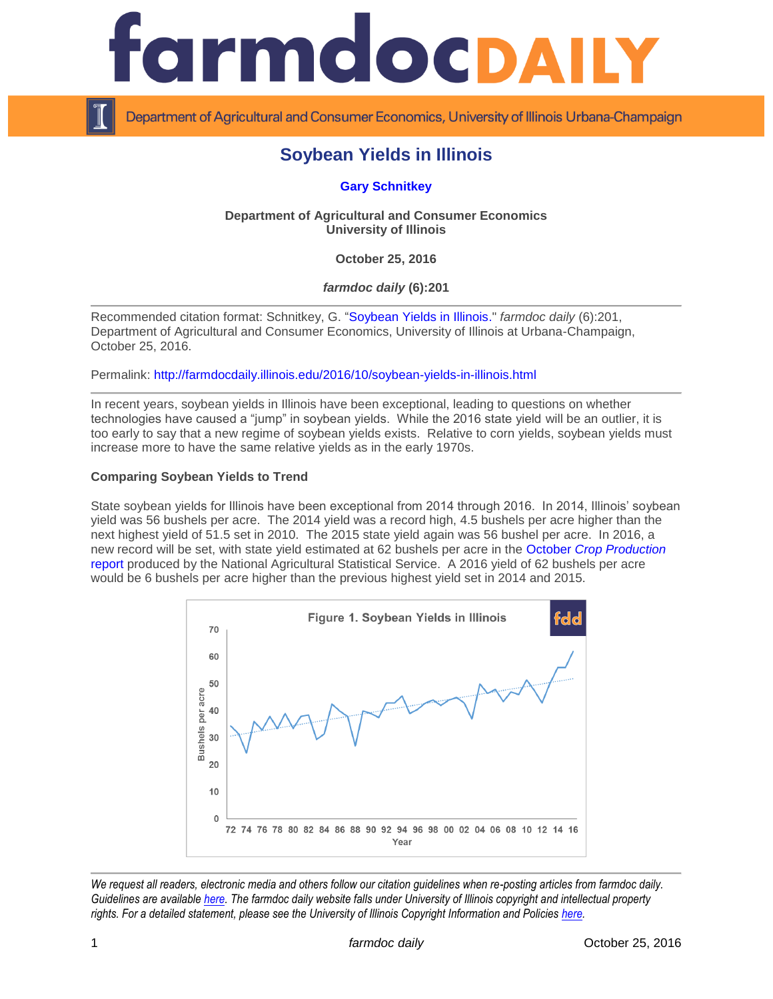

Department of Agricultural and Consumer Economics, University of Illinois Urbana-Champaign

# **Soybean Yields in Illinois**

**[Gary Schnitkey](http://farmdoc.illinois.edu/schnitkey)**

## **Department of Agricultural and Consumer Economics University of Illinois**

**October 25, 2016**

*farmdoc daily* **(6):201**

Recommended citation format: Schnitkey, G. ["Soybean Yields in Illinois.](http://farmdocdaily.illinois.edu/2016/10/soybean-yields-in-illinois.html)" *farmdoc daily* (6):201, Department of Agricultural and Consumer Economics, University of Illinois at Urbana-Champaign, October 25, 2016.

Permalink: <http://farmdocdaily.illinois.edu/2016/10/soybean-yields-in-illinois.html>

In recent years, soybean yields in Illinois have been exceptional, leading to questions on whether technologies have caused a "jump" in soybean yields. While the 2016 state yield will be an outlier, it is too early to say that a new regime of soybean yields exists. Relative to corn yields, soybean yields must increase more to have the same relative yields as in the early 1970s.

## **Comparing Soybean Yields to Trend**

State soybean yields for Illinois have been exceptional from 2014 through 2016. In 2014, Illinois' soybean yield was 56 bushels per acre. The 2014 yield was a record high, 4.5 bushels per acre higher than the next highest yield of 51.5 set in 2010. The 2015 state yield again was 56 bushel per acre. In 2016, a new record will be set, with state yield estimated at 62 bushels per acre in the October *[Crop Production](http://usda.mannlib.cornell.edu/usda/nass/CropProd/2010s/2016/CropProd-10-12-2016.pdf)* [report](http://usda.mannlib.cornell.edu/usda/nass/CropProd/2010s/2016/CropProd-10-12-2016.pdf) produced by the National Agricultural Statistical Service. A 2016 yield of 62 bushels per acre would be 6 bushels per acre higher than the previous highest yield set in 2014 and 2015.



*We request all readers, electronic media and others follow our citation guidelines when re-posting articles from farmdoc daily. Guidelines are available [here.](http://farmdocdaily.illinois.edu/citationguide.html) The farmdoc daily website falls under University of Illinois copyright and intellectual property rights. For a detailed statement, please see the University of Illinois Copyright Information and Policies [here.](http://www.cio.illinois.edu/policies/copyright/)*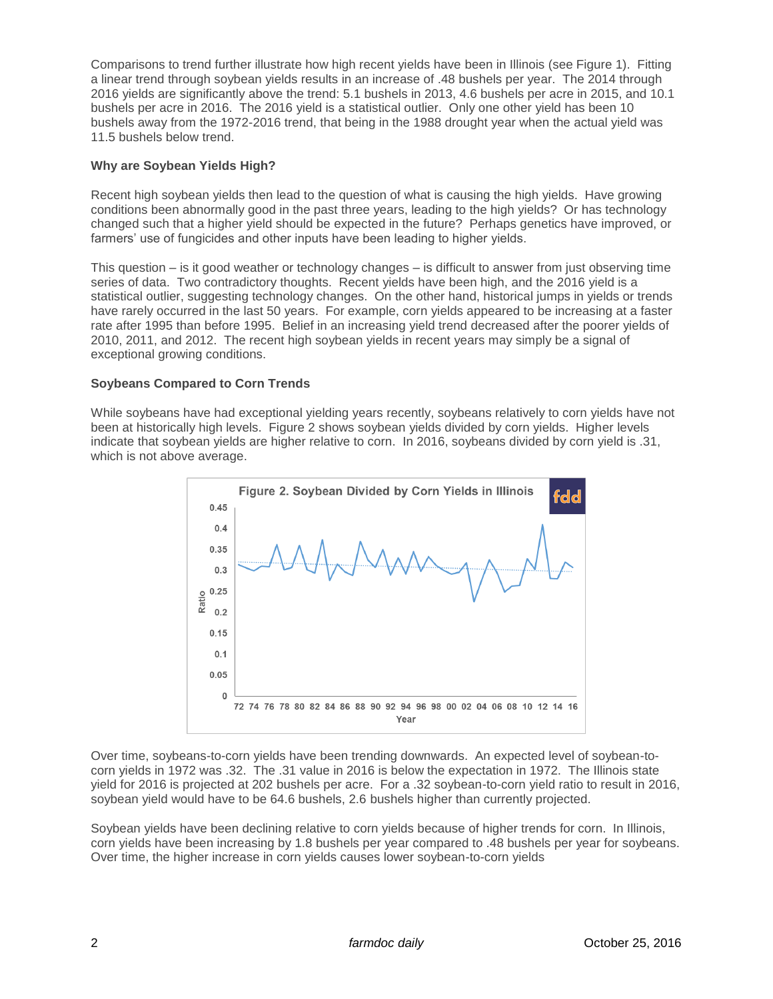Comparisons to trend further illustrate how high recent yields have been in Illinois (see Figure 1). Fitting a linear trend through soybean yields results in an increase of .48 bushels per year. The 2014 through 2016 yields are significantly above the trend: 5.1 bushels in 2013, 4.6 bushels per acre in 2015, and 10.1 bushels per acre in 2016. The 2016 yield is a statistical outlier. Only one other yield has been 10 bushels away from the 1972-2016 trend, that being in the 1988 drought year when the actual yield was 11.5 bushels below trend.

## **Why are Soybean Yields High?**

Recent high soybean yields then lead to the question of what is causing the high yields. Have growing conditions been abnormally good in the past three years, leading to the high yields? Or has technology changed such that a higher yield should be expected in the future? Perhaps genetics have improved, or farmers' use of fungicides and other inputs have been leading to higher yields.

This question – is it good weather or technology changes – is difficult to answer from just observing time series of data. Two contradictory thoughts. Recent yields have been high, and the 2016 yield is a statistical outlier, suggesting technology changes. On the other hand, historical jumps in yields or trends have rarely occurred in the last 50 years. For example, corn yields appeared to be increasing at a faster rate after 1995 than before 1995. Belief in an increasing yield trend decreased after the poorer yields of 2010, 2011, and 2012. The recent high soybean yields in recent years may simply be a signal of exceptional growing conditions.

## **Soybeans Compared to Corn Trends**

While soybeans have had exceptional yielding years recently, soybeans relatively to corn yields have not been at historically high levels. Figure 2 shows soybean yields divided by corn yields. Higher levels indicate that soybean yields are higher relative to corn. In 2016, soybeans divided by corn yield is .31, which is not above average.



Over time, soybeans-to-corn yields have been trending downwards. An expected level of soybean-tocorn yields in 1972 was .32. The .31 value in 2016 is below the expectation in 1972. The Illinois state yield for 2016 is projected at 202 bushels per acre. For a .32 soybean-to-corn yield ratio to result in 2016, soybean yield would have to be 64.6 bushels, 2.6 bushels higher than currently projected.

Soybean yields have been declining relative to corn yields because of higher trends for corn. In Illinois, corn yields have been increasing by 1.8 bushels per year compared to .48 bushels per year for soybeans. Over time, the higher increase in corn yields causes lower soybean-to-corn yields